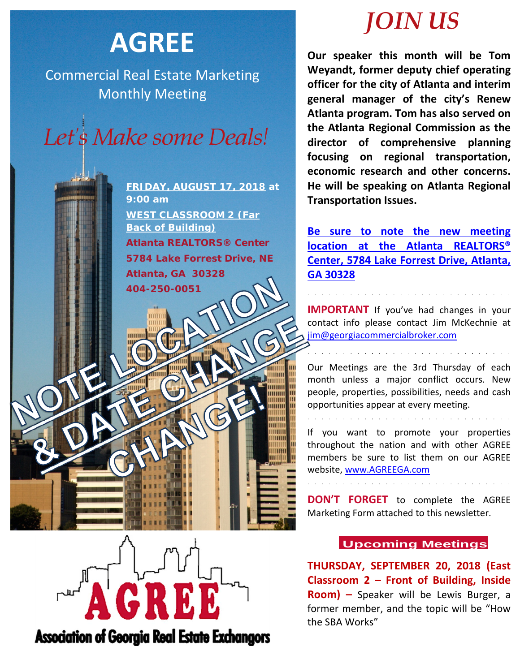# **AGREE**

Commercial Real Estate Marketing Monthly Meeting



**FRIDAY, AUGUST 17, 2018 at 9:00 am WEST CLASSROOM 2 (Far Back of Building) Atlanta REALTORS® Center 5784 Lake Forrest Drive, NE Atlanta, GA 30328 404-250-0051**

# *JOIN US*

**Our speaker this month will be Tom Weyandt, former deputy chief operating officer for the city of Atlanta and interim general manager of the city's Renew Atlanta program. Tom has also served on the Atlanta Regional Commission as the director of comprehensive planning focusing on regional transportation, economic research and other concerns. He will be speaking on Atlanta Regional Transportation Issues.** 

**Be sure to note the new meeting location at the Atlanta REALTORS® Center, 5784 Lake Forrest Drive, Atlanta, GA 30328**

**IMPORTANT** If you've had changes in your contact info please contact Jim McKechnie at [jim@georgiacommercialbroker.com](mailto:jim@georgiacommercialbroker.com?subject=Changes%20to%20My%20Account)

Our Meetings are the 3rd Thursday of each month unless a major conflict occurs. New people, properties, possibilities, needs and cash opportunities appear at every meeting.

and the contract of the contract of the contract of the contract of the contract of

If you want to promote your properties throughout the nation and with other AGREE members be sure to list them on our AGREE website, www.AGREEGA.com

**DON'T FORGET** to complete the AGREE Marketing Form attached to this newsletter.

**Association of Georgia Real Estate Exchangors** 

# **Upcoming Meetings**

**THURSDAY, SEPTEMBER 20, 2018 (East Classroom 2 – Front of Building, Inside Room) –** Speaker will be Lewis Burger, a former member, and the topic will be "How the SBA Works"